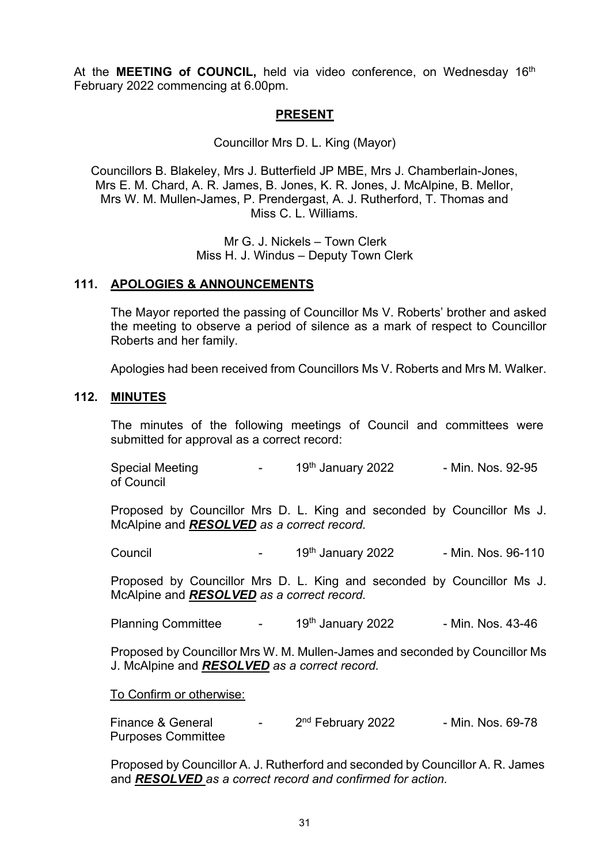At the **MEETING of COUNCIL**, held via video conference, on Wednesday 16<sup>th</sup> February 2022 commencing at 6.00pm.

### **PRESENT**

Councillor Mrs D. L. King (Mayor)

Councillors B. Blakeley, Mrs J. Butterfield JP MBE, Mrs J. Chamberlain-Jones, Mrs E. M. Chard, A. R. James, B. Jones, K. R. Jones, J. McAlpine, B. Mellor, Mrs W. M. Mullen-James, P. Prendergast, A. J. Rutherford, T. Thomas and Miss C. L. Williams.

> Mr G. J. Nickels – Town Clerk Miss H. J. Windus – Deputy Town Clerk

#### **111. APOLOGIES & ANNOUNCEMENTS**

The Mayor reported the passing of Councillor Ms V. Roberts' brother and asked the meeting to observe a period of silence as a mark of respect to Councillor Roberts and her family.

Apologies had been received from Councillors Ms V. Roberts and Mrs M. Walker.

#### **112. MINUTES**

The minutes of the following meetings of Council and committees were submitted for approval as a correct record:

Special Meeting  $-$  19<sup>th</sup> January 2022 - Min. Nos. 92-95 of Council

Proposed by Councillor Mrs D. L. King and seconded by Councillor Ms J. McAlpine and *RESOLVED as a correct record.*

Council - 19th January 2022 - Min. Nos. 96-110

Proposed by Councillor Mrs D. L. King and seconded by Councillor Ms J. McAlpine and *RESOLVED as a correct record.*

Planning Committee - 19<sup>th</sup> January 2022 - Min. Nos. 43-46

Proposed by Councillor Mrs W. M. Mullen-James and seconded by Councillor Ms J. McAlpine and *RESOLVED as a correct record.*

To Confirm or otherwise:

Finance & General  $\frac{2^{nd}}{1 - 2^{nd}}$  February 2022 - Min. Nos. 69-78 Purposes Committee

Proposed by Councillor A. J. Rutherford and seconded by Councillor A. R. James and *RESOLVED as a correct record and confirmed for action.*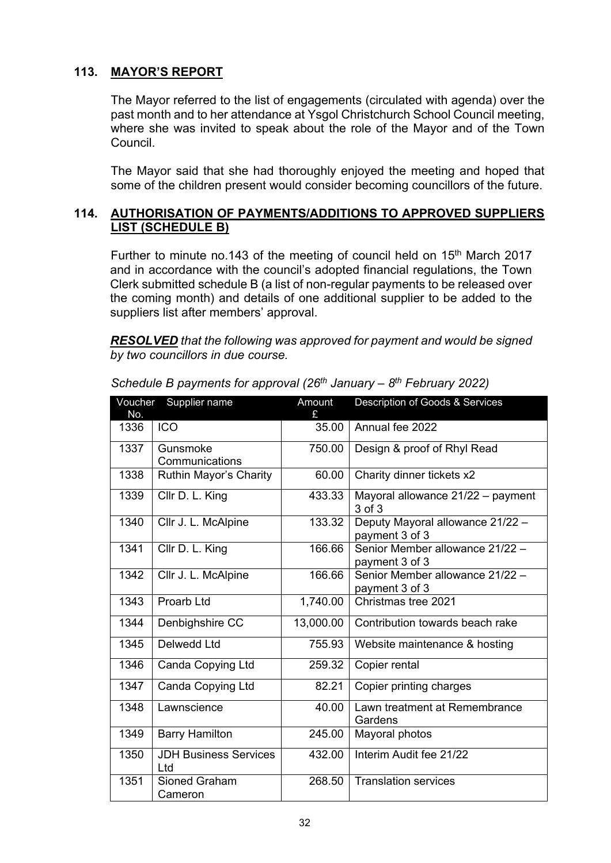## **113. MAYOR'S REPORT**

The Mayor referred to the list of engagements (circulated with agenda) over the past month and to her attendance at Ysgol Christchurch School Council meeting, where she was invited to speak about the role of the Mayor and of the Town Council.

The Mayor said that she had thoroughly enjoyed the meeting and hoped that some of the children present would consider becoming councillors of the future.

#### **114. AUTHORISATION OF PAYMENTS/ADDITIONS TO APPROVED SUPPLIERS LIST (SCHEDULE B)**

Further to minute no.143 of the meeting of council held on 15<sup>th</sup> March 2017 and in accordance with the council's adopted financial regulations, the Town Clerk submitted schedule B (a list of non-regular payments to be released over the coming month) and details of one additional supplier to be added to the suppliers list after members' approval.

*RESOLVED that the following was approved for payment and would be signed by two councillors in due course.*

| Voucher<br>No. | Supplier name                       | Amount    | Description of Goods & Services                    |
|----------------|-------------------------------------|-----------|----------------------------------------------------|
| 1336           | <b>ICO</b>                          | 35.00     | Annual fee 2022                                    |
| 1337           | Gunsmoke<br>Communications          | 750.00    | Design & proof of Rhyl Read                        |
| 1338           | Ruthin Mayor's Charity              | 60.00     | Charity dinner tickets x2                          |
| 1339           | Cllr D. L. King                     | 433.33    | Mayoral allowance 21/22 - payment<br>3 of 3        |
| 1340           | Cllr J. L. McAlpine                 | 133.32    | Deputy Mayoral allowance 21/22 -<br>payment 3 of 3 |
| 1341           | Cllr D. L. King                     | 166.66    | Senior Member allowance 21/22 -<br>payment 3 of 3  |
| 1342           | Cllr J. L. McAlpine                 | 166.66    | Senior Member allowance 21/22 -<br>payment 3 of 3  |
| 1343           | Proarb Ltd                          | 1,740.00  | Christmas tree 2021                                |
| 1344           | Denbighshire CC                     | 13,000.00 | Contribution towards beach rake                    |
| 1345           | Delwedd Ltd                         | 755.93    | Website maintenance & hosting                      |
| 1346           | Canda Copying Ltd                   | 259.32    | Copier rental                                      |
| 1347           | Canda Copying Ltd                   | 82.21     | Copier printing charges                            |
| 1348           | Lawnscience                         | 40.00     | Lawn treatment at Remembrance<br>Gardens           |
| 1349           | <b>Barry Hamilton</b>               | 245.00    | Mayoral photos                                     |
| 1350           | <b>JDH Business Services</b><br>Ltd | 432.00    | Interim Audit fee 21/22                            |
| 1351           | Sioned Graham<br>Cameron            | 268.50    | <b>Translation services</b>                        |

*Schedule B payments for approval (26th January – 8th February 2022)*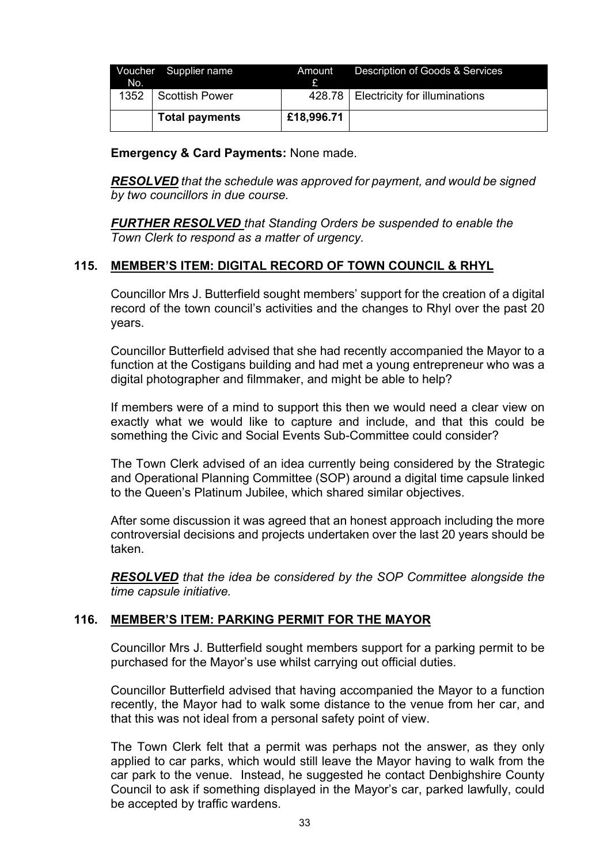| No.  | Voucher Supplier name | Amount     | Description of Goods & Services        |
|------|-----------------------|------------|----------------------------------------|
| 1352 | I Scottish Power      |            | 428.78   Electricity for illuminations |
|      | <b>Total payments</b> | £18,996.71 |                                        |

**Emergency & Card Payments:** None made.

*RESOLVED that the schedule was approved for payment, and would be signed by two councillors in due course.*

*FURTHER RESOLVED that Standing Orders be suspended to enable the Town Clerk to respond as a matter of urgency.*

## **115. MEMBER'S ITEM: DIGITAL RECORD OF TOWN COUNCIL & RHYL**

Councillor Mrs J. Butterfield sought members' support for the creation of a digital record of the town council's activities and the changes to Rhyl over the past 20 years.

Councillor Butterfield advised that she had recently accompanied the Mayor to a function at the Costigans building and had met a young entrepreneur who was a digital photographer and filmmaker, and might be able to help?

If members were of a mind to support this then we would need a clear view on exactly what we would like to capture and include, and that this could be something the Civic and Social Events Sub-Committee could consider?

The Town Clerk advised of an idea currently being considered by the Strategic and Operational Planning Committee (SOP) around a digital time capsule linked to the Queen's Platinum Jubilee, which shared similar objectives.

After some discussion it was agreed that an honest approach including the more controversial decisions and projects undertaken over the last 20 years should be taken.

*RESOLVED that the idea be considered by the SOP Committee alongside the time capsule initiative.*

#### **116. MEMBER'S ITEM: PARKING PERMIT FOR THE MAYOR**

Councillor Mrs J. Butterfield sought members support for a parking permit to be purchased for the Mayor's use whilst carrying out official duties.

Councillor Butterfield advised that having accompanied the Mayor to a function recently, the Mayor had to walk some distance to the venue from her car, and that this was not ideal from a personal safety point of view.

The Town Clerk felt that a permit was perhaps not the answer, as they only applied to car parks, which would still leave the Mayor having to walk from the car park to the venue. Instead, he suggested he contact Denbighshire County Council to ask if something displayed in the Mayor's car, parked lawfully, could be accepted by traffic wardens.